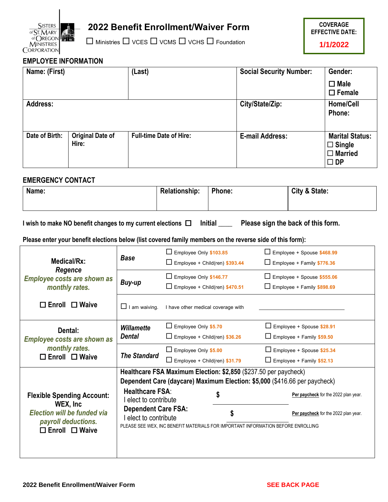

# **2022 Benefit Enrollment/Waiver Form**

 $\square$  Ministries  $\square$  VCES  $\square$  VCMS  $\square$  VCHS  $\square$  Foundation



## **EMPLOYEE INFORMATION**

| Name: (First)   |                                  | (Last)                         | <b>Social Security Number:</b> | Gender:                                                                   |
|-----------------|----------------------------------|--------------------------------|--------------------------------|---------------------------------------------------------------------------|
|                 |                                  |                                |                                | $\square$ Male<br>$\square$ Female                                        |
| <b>Address:</b> |                                  |                                | City/State/Zip:                | Home/Cell<br>Phone:                                                       |
| Date of Birth:  | <b>Original Date of</b><br>Hire: | <b>Full-time Date of Hire:</b> | <b>E-mail Address:</b>         | <b>Marital Status:</b><br>$\Box$ Single<br>$\Box$ Married<br>$\square$ DP |

### **EMERGENCY CONTACT**

| Name: | Phone:<br><b>Relationship:</b> |  | City & State: |  |  |
|-------|--------------------------------|--|---------------|--|--|
|       |                                |  |               |  |  |

**I wish to make NO benefit changes to my current elections Initial \_\_\_\_ Please sign the back of this form.**

**Please enter your benefit elections below (list covered family members on the reverse side of this form):**

| Medical/Rx:                                                                                                                               | <b>Base</b>                                                                                          | $\Box$ Employee Only \$103.85<br>$\Box$ Employee + Child(ren) \$393.44                                                                                                                                                                         | Employee + Spouse \$468.99<br>Employee + Family \$776.36                     |  |  |
|-------------------------------------------------------------------------------------------------------------------------------------------|------------------------------------------------------------------------------------------------------|------------------------------------------------------------------------------------------------------------------------------------------------------------------------------------------------------------------------------------------------|------------------------------------------------------------------------------|--|--|
| Regence<br><b>Employee costs are shown as</b><br>monthly rates.                                                                           | Buy-up                                                                                               | Employee Only \$146.77<br>$\Box$ Employee + Child(ren) \$470.51                                                                                                                                                                                | Employee + Spouse \$555.06<br>Employee + Family \$898.69                     |  |  |
| $\Box$ Enroll $\Box$ Waive                                                                                                                | $\Box$ I am waiving.                                                                                 | I have other medical coverage with                                                                                                                                                                                                             |                                                                              |  |  |
| Dental:                                                                                                                                   | <b>Willamette</b>                                                                                    | Employee Only \$5.70                                                                                                                                                                                                                           | Employee + Spouse \$28.91                                                    |  |  |
| <b>Employee costs are shown as</b>                                                                                                        | Dental                                                                                               | $\Box$ Employee + Child(ren) \$36.26                                                                                                                                                                                                           | $\Box$ Employee + Family \$59.50                                             |  |  |
| monthly rates.                                                                                                                            |                                                                                                      | $\Box$ Employee Only \$5.00                                                                                                                                                                                                                    | Employee + Spouse \$25.34                                                    |  |  |
| $\Box$ Enroll $\Box$ Waive                                                                                                                | <b>The Standard</b>                                                                                  | $\Box$ Employee + Child(ren) \$31.79                                                                                                                                                                                                           | $\Box$ Employee + Family \$52.13                                             |  |  |
| <b>Flexible Spending Account:</b><br>WEX, Inc.<br><b>Election will be funded via</b><br>payroll deductions.<br>$\Box$ Enroll $\Box$ Waive | <b>Healthcare FSA:</b><br>I elect to contribute<br><b>Dependent Care FSA:</b><br>elect to contribute | Healthcare FSA Maximum Election: \$2,850 (\$237.50 per paycheck)<br>Dependent Care (daycare) Maximum Election: \$5,000 (\$416.66 per paycheck)<br>\$<br>\$<br>PLEASE SEE WEX, INC BENEFIT MATERIALS FOR IMPORTANT INFORMATION BEFORE ENROLLING | Per paycheck for the 2022 plan year.<br>Per paycheck for the 2022 plan year. |  |  |
|                                                                                                                                           |                                                                                                      |                                                                                                                                                                                                                                                |                                                                              |  |  |